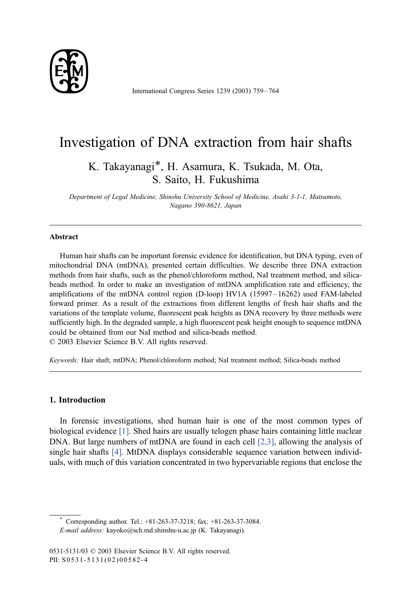

International Congress Series 1239 (2003) 759 – 764

# Investigation of DNA extraction from hair shafts

K. Takayanagi\*, H. Asamura, K. Tsukada, M. Ota, S. Saito, H. Fukushima

Department of Legal Medicine, Shinshu University School of Medicine, Asahi 3-1-1, Matsumoto, Nagano 390-8621, Japan

### Abstract

Human hair shafts can be important forensic evidence for identification, but DNA typing, even of mitochondrial DNA (mtDNA), presented certain difficulties. We describe three DNA extraction methods from hair shafts, such as the phenol/chloroform method, NaI treatment method, and silicabeads method. In order to make an investigation of mtDNA amplification rate and efficiency, the amplifications of the mtDNA control region (D-loop) HV1A (15997 – 16262) used FAM-labeled forward primer. As a result of the extractions from different lengths of fresh hair shafts and the variations of the template volume, fluorescent peak heights as DNA recovery by three methods were sufficiently high. In the degraded sample, a high fluorescent peak height enough to sequence mtDNA could be obtained from our NaI method and silica-beads method.  $© 2003 Elsevier Science B.V. All rights reserved.$ 

Keywords: Hair shaft; mtDNA; Phenol/chloroform method; NaI treatment method; Silica-beads method

# 1. Introduction

In forensic investigations, shed human hair is one of the most common types of biological evidence [\[1\].](#page-5-0) Shed hairs are usually telogen phase hairs containing little nuclear DNA. But large numbers of mtDNA are found in each cell [\[2,3\],](#page-5-0) allowing the analysis of single hair shafts [\[4\].](#page-5-0) MtDNA displays considerable sequence variation between individuals, with much of this variation concentrated in two hypervariable regions that enclose the

\* Corresponding author. Tel.:  $+81-263-37-3218$ ; fax:  $+81-263-37-3084$ .

E-mail address: kayoko@sch.md.shinshu-u.ac.jp (K. Takayanagi).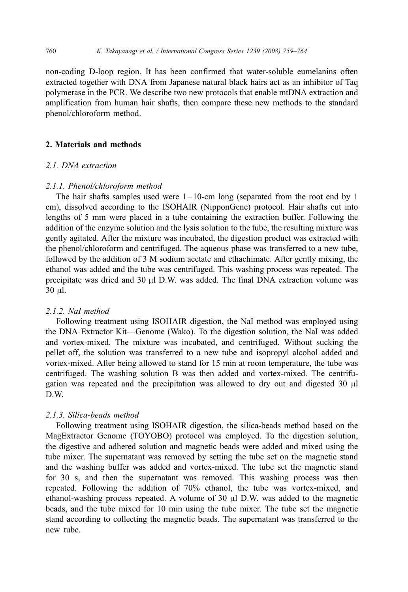non-coding D-loop region. It has been confirmed that water-soluble eumelanins often extracted together with DNA from Japanese natural black hairs act as an inhibitor of Taq polymerase in the PCR. We describe two new protocols that enable mtDNA extraction and amplification from human hair shafts, then compare these new methods to the standard phenol/chloroform method.

# 2. Materials and methods

### 2.1. DNA extraction

### 2.1.1. Phenol/chloroform method

The hair shafts samples used were  $1-10$ -cm long (separated from the root end by 1 cm), dissolved according to the ISOHAIR (NipponGene) protocol. Hair shafts cut into lengths of 5 mm were placed in a tube containing the extraction buffer. Following the addition of the enzyme solution and the lysis solution to the tube, the resulting mixture was gently agitated. After the mixture was incubated, the digestion product was extracted with the phenol/chloroform and centrifuged. The aqueous phase was transferred to a new tube, followed by the addition of 3 M sodium acetate and ethachimate. After gently mixing, the ethanol was added and the tube was centrifuged. This washing process was repeated. The precipitate was dried and  $30 \mu$ l D.W. was added. The final DNA extraction volume was 30 ul.

### 2.1.2. NaI method

Following treatment using ISOHAIR digestion, the NaI method was employed using the DNA Extractor Kit—Genome (Wako). To the digestion solution, the NaI was added and vortex-mixed. The mixture was incubated, and centrifuged. Without sucking the pellet off, the solution was transferred to a new tube and isopropyl alcohol added and vortex-mixed. After being allowed to stand for 15 min at room temperature, the tube was centrifuged. The washing solution B was then added and vortex-mixed. The centrifugation was repeated and the precipitation was allowed to dry out and digested 30  $\mu$ l D.W.

### 2.1.3. Silica-beads method

Following treatment using ISOHAIR digestion, the silica-beads method based on the MagExtractor Genome (TOYOBO) protocol was employed. To the digestion solution, the digestive and adhered solution and magnetic beads were added and mixed using the tube mixer. The supernatant was removed by setting the tube set on the magnetic stand and the washing buffer was added and vortex-mixed. The tube set the magnetic stand for 30 s, and then the supernatant was removed. This washing process was then repeated. Following the addition of 70% ethanol, the tube was vortex-mixed, and ethanol-washing process repeated. A volume of  $30 \mu l$  D.W. was added to the magnetic beads, and the tube mixed for 10 min using the tube mixer. The tube set the magnetic stand according to collecting the magnetic beads. The supernatant was transferred to the new tube.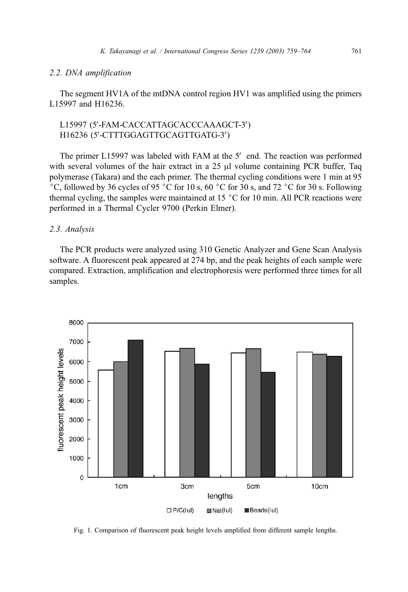#### <span id="page-2-0"></span>2.2. DNA amplification

The segment HV1A of the mtDNA control region HV1 was amplified using the primers L15997 and H16236.

# L15997 (5'-FAM-CACCATTAGCACCCAAAGCT-3') H16236 (5'-CTTTGGAGTTGCAGTTGATG-3')

The primer L15997 was labeled with FAM at the  $5'$  end. The reaction was performed with several volumes of the hair extract in a  $25 \mu$  volume containing PCR buffer. Tag polymerase (Takara) and the each primer. The thermal cycling conditions were 1 min at 95 °C, followed by 36 cycles of 95 °C for 10 s, 60 °C for 30 s, and 72 °C for 30 s. Following thermal cycling, the samples were maintained at 15  $\degree$ C for 10 min. All PCR reactions were performed in a Thermal Cycler 9700 (Perkin Elmer).

### 2.3. Analysis

The PCR products were analyzed using 310 Genetic Analyzer and Gene Scan Analysis software. A fluorescent peak appeared at 274 bp, and the peak heights of each sample were compared. Extraction, amplification and electrophoresis were performed three times for all samples.



Fig. 1. Comparison of fluorescent peak height levels amplified from different sample lengths.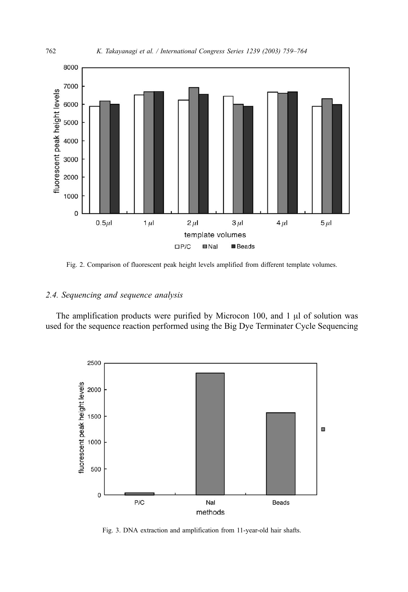<span id="page-3-0"></span>

Fig. 2. Comparison of fluorescent peak height levels amplified from different template volumes.

# 2.4. Sequencing and sequence analysis

The amplification products were purified by Microcon  $100$ , and  $1 \mu l$  of solution was used for the sequence reaction performed using the Big Dye Terminater Cycle Sequencing



Fig. 3. DNA extraction and amplification from 11-year-old hair shafts.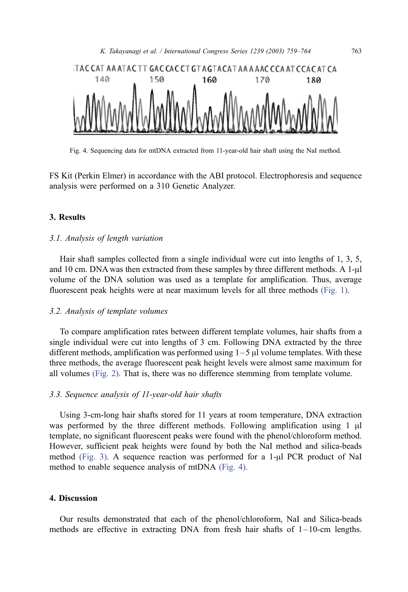

Fig. 4. Sequencing data for mtDNA extracted from 11-year-old hair shaft using the NaI method.

FS Kit (Perkin Elmer) in accordance with the ABI protocol. Electrophoresis and sequence analysis were performed on a 310 Genetic Analyzer.

#### 3. Results

### 3.1. Analysis of length variation

Hair shaft samples collected from a single individual were cut into lengths of 1, 3, 5, and 10 cm. DNA was then extracted from these samples by three different methods. A  $1-\mu$ l volume of the DNA solution was used as a template for amplification. Thus, average fluorescent peak heights were at near maximum levels for all three methods [\(Fig. 1\).](#page-2-0)

#### 3.2. Analysis of template volumes

To compare amplification rates between different template volumes, hair shafts from a single individual were cut into lengths of 3 cm. Following DNA extracted by the three different methods, amplification was performed using  $1-5 \mu$  volume templates. With these three methods, the average fluorescent peak height levels were almost same maximum for all volumes [\(Fig. 2\).](#page-3-0) That is, there was no difference stemming from template volume.

## 3.3. Sequence analysis of 11-year-old hair shafts

Using 3-cm-long hair shafts stored for 11 years at room temperature, DNA extraction was performed by the three different methods. Following amplification using  $1 \mu l$ template, no significant fluorescent peaks were found with the phenol/chloroform method. However, sufficient peak heights were found by both the NaI method and silica-beads method [\(Fig. 3\).](#page-3-0) A sequence reaction was performed for a  $1-\mu$  PCR product of NaI method to enable sequence analysis of mtDNA (Fig. 4).

# 4. Discussion

Our results demonstrated that each of the phenol/chloroform, NaI and Silica-beads methods are effective in extracting DNA from fresh hair shafts of  $1-10$ -cm lengths.